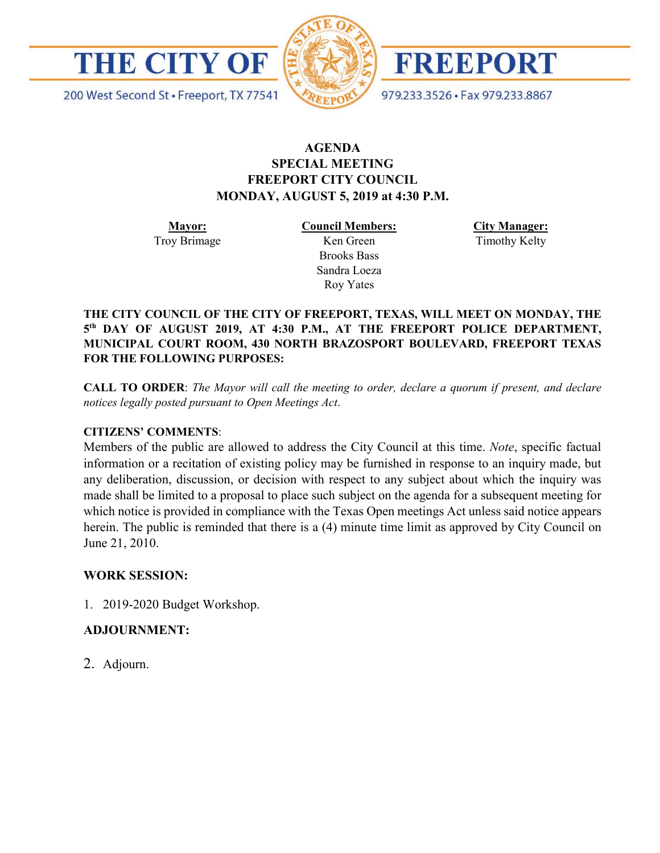

200 West Second St · Freeport, TX 77541



FREEPORT

979.233.3526 · Fax 979.233.8867

## **AGENDA SPECIAL MEETING FREEPORT CITY COUNCIL MONDAY, AUGUST 5, 2019 at 4:30 P.M.**

**Mayor:** Troy Brimage **Council Members:** Ken Green

> Brooks Bass Sandra Loeza Roy Yates

**City Manager:**

Timothy Kelty

**THE CITY COUNCIL OF THE CITY OF FREEPORT, TEXAS, WILL MEET ON MONDAY, THE 5th DAY OF AUGUST 2019, AT 4:30 P.M., AT THE FREEPORT POLICE DEPARTMENT, MUNICIPAL COURT ROOM, 430 NORTH BRAZOSPORT BOULEVARD, FREEPORT TEXAS FOR THE FOLLOWING PURPOSES:**

**CALL TO ORDER**: *The Mayor will call the meeting to order, declare a quorum if present, and declare notices legally posted pursuant to Open Meetings Act*.

## **CITIZENS' COMMENTS**:

Members of the public are allowed to address the City Council at this time. *Note*, specific factual information or a recitation of existing policy may be furnished in response to an inquiry made, but any deliberation, discussion, or decision with respect to any subject about which the inquiry was made shall be limited to a proposal to place such subject on the agenda for a subsequent meeting for which notice is provided in compliance with the Texas Open meetings Act unless said notice appears herein. The public is reminded that there is a (4) minute time limit as approved by City Council on June 21, 2010.

## **WORK SESSION:**

1. 2019-2020 Budget Workshop.

## **ADJOURNMENT:**

2. Adjourn.